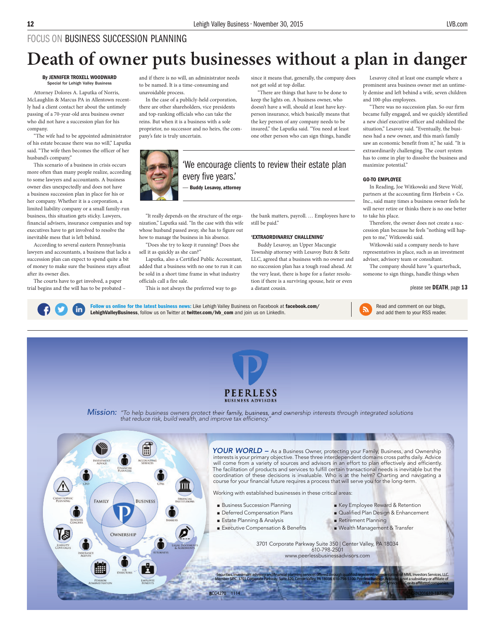# FOCUS ON BUSINESS SUCCESSION PLANNING

# **Death of owner puts businesses without a plan in danger**

#### By JENNIFER TROXELL WOODWARD Special for Lehigh Valley Busine

Attorney Dolores A. Laputka of Norris, McLaughlin & Marcus PA in Allentown recently had a client contact her about the untimely passing of a 70-year-old area business owner who did not have a succession plan for his company.

"The wife had to be appointed administrator of his estate because there was no will," Laputka said. "The wife then becomes the officer of her husband's company."

This scenario of a business in crisis occurs more often than many people realize, according to some lawyers and accountants. A business owner dies unexpectedly and does not have a business succession plan in place for his or her company. Whether it is a corporation, a limited liability company or a small family-run business, this situation gets sticky. Lawyers, financial advisers, insurance companies and top executives have to get involved to resolve the inevitable mess that is left behind.

According to several eastern Pennsylvania lawyers and accountants, a business that lacks a succession plan can expect to spend quite a bit of money to make sure the business stays afloat after its owner dies.

The courts have to get involved, a paper trial begins and the will has to be probated –

in

and if there is no will, an administrator needs to be named. It is a time-consuming and unavoidable process.

In the case of a publicly-held corporation, there are other shareholders, vice presidents and top-ranking officials who can take the reins. But when it is a business with a sole proprietor, no successor and no heirs, the company's fate is truly uncertain.

since it means that, generally, the company does not get sold at top dollar.

There are things that have to be done to keep the lights on. A business owner, who doesn't have a will, should at least have keyperson insurance, which basically means that the key person of any company needs to be insured," the Laputka said. "You need at least one other person who can sign things, handle

— Buddy Lesavoy, attorney

"It really depends on the structure of the organization," Laputka said. "In the case with this wife whose husband passed away, she has to figure out how to manage the business in his absence.

"Does she try to keep it running? Does she sell it as quickly as she can?"

Laputka, also a Certified Public Accountant, added that a business with no one to run it can be sold in a short time frame in what industry officials call a fire sale.

This is not always the preferred way to go

the bank matters, payroll. … Employees have to still be paid."

#### 'EXTRAORDINARILY CHALLENING'

Buddy Lesavoy, an Upper Macungie Township attorney with Lesavoy Butz & Seitz LLC, agreed that a business with no owner and no succession plan has a tough road ahead. At the very least, there is hope for a faster resolution if there is a surviving spouse, heir or even a distant cousin.

Follow us online for the latest business news: Like Lehigh Valley Business on Facebook at facebook.com/ LehighValleyBusiness, follow us on Twitter at twitter.com/lvb\_com and join us on LinkedIn.



Lesavoy cited at least one example where a prominent area business owner met an untimely demise and left behind a wife, seven children and 100-plus employees.

"There was no succession plan. So our firm became fully engaged, and we quickly identified a new chief executive officer and stabilized the situation," Lesavoy said. "Eventually, the business had a new owner, and this man's family saw an economic benefit from it," he said. "It is extraordinarily challenging. The court system has to come in play to dissolve the business and maximize potential."

#### GO-TO EMPLOYEE

In Reading, Joe Witkowski and Steve Wolf, partners at the accounting firm Herbein + Co. Inc., said many times a business owner feels he will never retire or thinks there is no one better to take his place.

Therefore, the owner does not create a succession plan because he feels "nothing will happen to me," Witkowski said.

Witkowski said a company needs to have representatives in place, such as an investment adviser, advisory team or consultant.

The company should have "a quarterback, someone to sign things, handle things when

### please see DEATH, page 13





*Mission: "To help business owners protect their family, business, and ownership interests through integrated solutions that reduce risk, build wealth, and improve tax efficiency."*



# 'We encourage clients to review their estate plan every five years.'